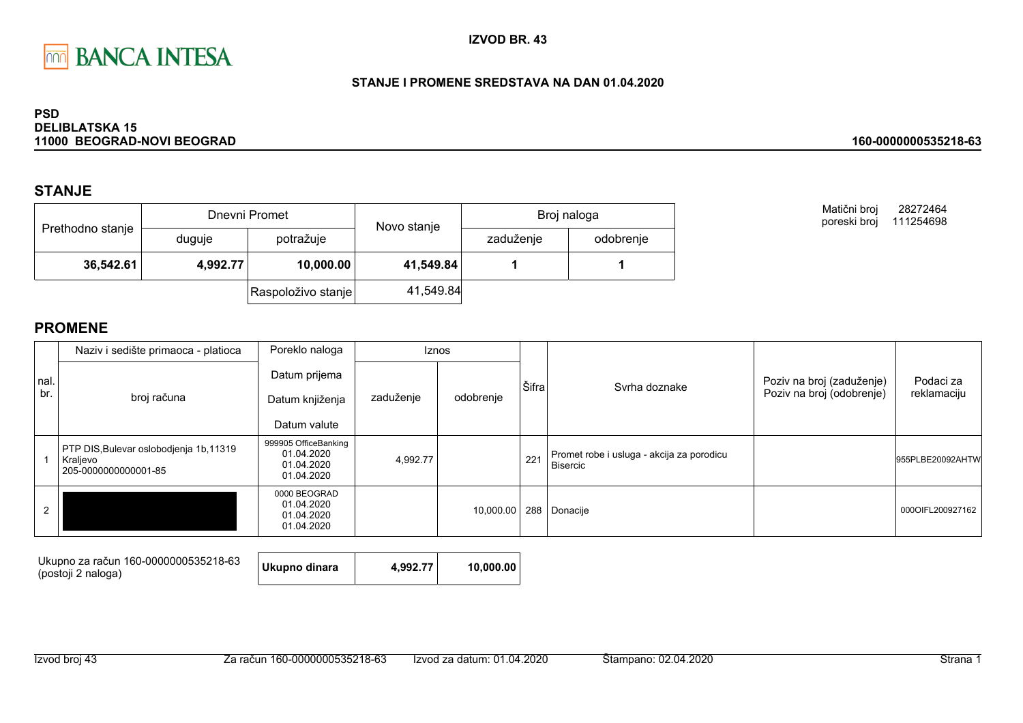

### STANJE I PROMENE SREDSTAVA NA DAN 01.04.2020

#### **PSD DELIBLATSKA 15** 11000 BEOGRAD-NOVI BEOGRAD

### **STANJE**

|                  |          | Dnevni Promet      | Novo stanje | Broj naloga |           |  |
|------------------|----------|--------------------|-------------|-------------|-----------|--|
| Prethodno stanje | duguje   | potražuje          |             | zaduženje   | odobrenje |  |
| 36,542.61        | 4,992.77 | 10,000.00          | 41,549.84   |             |           |  |
|                  |          | Raspoloživo stanje | 41,549.84   |             |           |  |

Matični broj 28272464 poreski broj 111254698

160-0000000535218-63

|      | Naziv i sedište primaoca - platioca                                         | Poreklo naloga                                                 | Iznos     |           |       |                                                              |                           |                  |
|------|-----------------------------------------------------------------------------|----------------------------------------------------------------|-----------|-----------|-------|--------------------------------------------------------------|---------------------------|------------------|
| nal. |                                                                             | Datum prijema                                                  |           |           | Šifra | Svrha doznake                                                | Poziv na broj (zaduženje) | Podaci za        |
| br.  | broj računa                                                                 | Datum knjiženja                                                | zaduženje | odobrenje |       |                                                              | Poziv na broj (odobrenje) | reklamaciju      |
|      |                                                                             | Datum valute                                                   |           |           |       |                                                              |                           |                  |
|      | PTP DIS, Bulevar oslobodjenja 1b, 11319<br>Kraljevo<br>205-0000000000001-85 | 999905 OfficeBanking<br>01.04.2020<br>01.04.2020<br>01.04.2020 | 4,992.77  |           | 221   | Promet robe i usluga - akcija za porodicu<br><b>Bisercic</b> |                           | 955PLBE20092AHTW |
| 2    |                                                                             | 0000 BEOGRAD<br>01.04.2020<br>01.04.2020<br>01.04.2020         |           | 10,000.00 |       | 288 Donacije                                                 |                           | 000OIFL200927162 |

| Ukupno za račun 160-0000000535218-63<br>(postoji 2 naloga) | Ukupno dinara | 4.992.77 | 10.000.00 |
|------------------------------------------------------------|---------------|----------|-----------|
|------------------------------------------------------------|---------------|----------|-----------|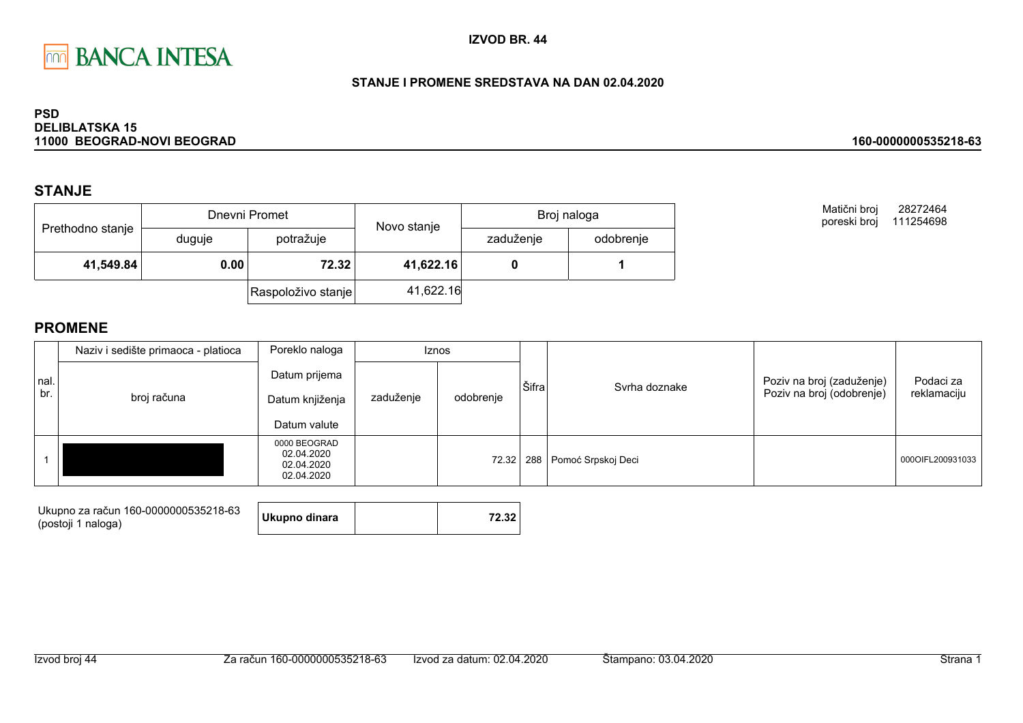

### STANJE I PROMENE SREDSTAVA NA DAN 02.04.2020

#### **PSD DELIBLATSKA 15** 11000 BEOGRAD-NOVI BEOGRAD

### **STANJE**

|                  |        | Dnevni Promet            |           | Broj naloga |  |  |
|------------------|--------|--------------------------|-----------|-------------|--|--|
| Prethodno stanje | duguje | Novo stanje<br>potražuje | zaduženje | odobrenje   |  |  |
| 41,549.84        | 0.00   | 72.32                    | 41,622.16 |             |  |  |
|                  |        | Raspoloživo stanje       | 41,622.16 |             |  |  |

Matični broj 28272464 poreski broj 111254698

160-0000000535218-63

|             | Naziv i sedište primaoca - platioca<br>Poreklo naloga |                                                        | Iznos     |           |       |                        |                                                        |                          |
|-------------|-------------------------------------------------------|--------------------------------------------------------|-----------|-----------|-------|------------------------|--------------------------------------------------------|--------------------------|
| nal.<br>br. | broj računa                                           | Datum prijema<br>Datum knjiženja<br>Datum valute       | zaduženje | odobrenje | Šifra | Syrha doznake          | Poziv na broj (zaduženje)<br>Poziv na broj (odobrenje) | Podaci za<br>reklamaciju |
|             |                                                       | 0000 BEOGRAD<br>02.04.2020<br>02.04.2020<br>02.04.2020 |           | 72.32     |       | 288 Pomoć Srpskoj Deci |                                                        | 000OIFL200931033         |

| Ukupno za račun 160-0000000535218-63 | Ukupno dinara | 72.32 |
|--------------------------------------|---------------|-------|
| (postoji 1 naloga)                   |               |       |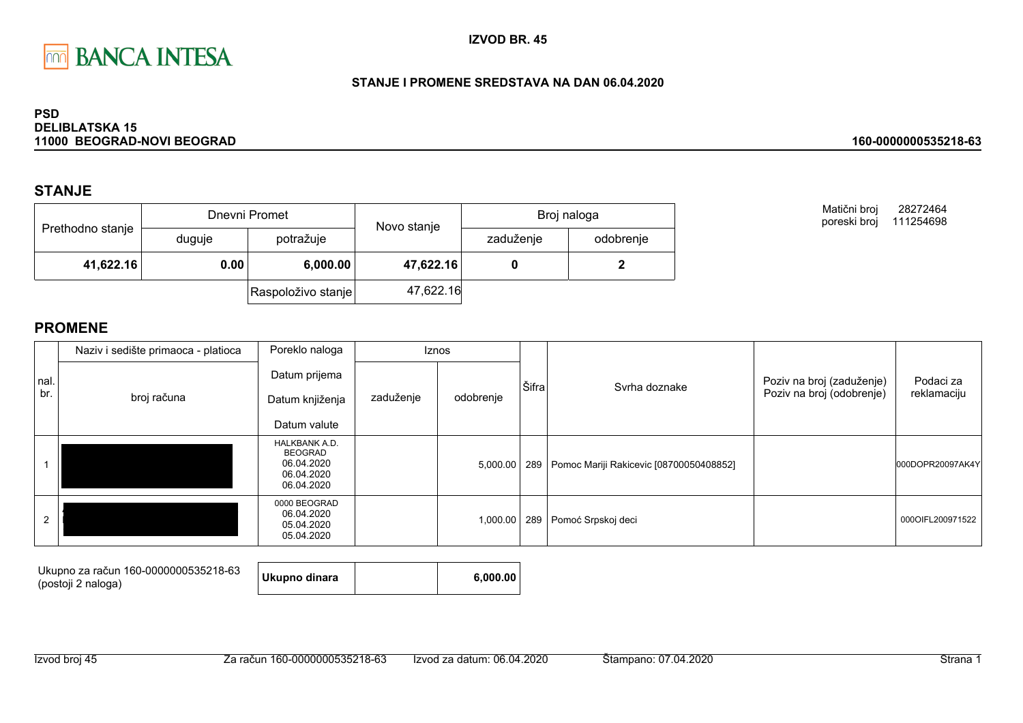

### STANJE I PROMENE SREDSTAVA NA DAN 06.04.2020

#### **PSD DELIBLATSKA 15** 11000 BEOGRAD-NOVI BEOGRAD

### **STANJE**

|                  |        | Dnevni Promet      | Novo stanje | Broj naloga |           |  |
|------------------|--------|--------------------|-------------|-------------|-----------|--|
| Prethodno stanje | duguje | potražuje          |             | zaduženje   | odobrenje |  |
| 41,622.16        | 0.00   | 6,000.00           | 47,622.16   |             |           |  |
|                  |        | Raspoloživo stanje | 47,622.16   |             |           |  |

Matični broj 28272464 poreski broj 111254698

160-0000000535218-63

|      | Naziv i sedište primaoca - platioca | Poreklo naloga                                                            | <b>Iznos</b> |           |       |                                               |                           |                  |
|------|-------------------------------------|---------------------------------------------------------------------------|--------------|-----------|-------|-----------------------------------------------|---------------------------|------------------|
| nal. |                                     | Datum prijema                                                             |              |           | Šifra | Svrha doznake                                 | Poziv na broj (zaduženje) | Podaci za        |
| br.  | broj računa                         | Datum knjiženja                                                           | zaduženje    | odobrenje |       |                                               | Poziv na broj (odobrenje) | reklamaciju      |
|      |                                     | Datum valute                                                              |              |           |       |                                               |                           |                  |
|      |                                     | HALKBANK A.D.<br><b>BEOGRAD</b><br>06.04.2020<br>06.04.2020<br>06.04.2020 |              | 5,000.00  |       | 289   Pomoc Mariji Rakicevic [08700050408852] |                           | 000DOPR20097AK4Y |
|      |                                     | 0000 BEOGRAD<br>06.04.2020<br>05.04.2020<br>05.04.2020                    |              | 1,000.00  | 289   | Pomoć Srpskoj deci                            |                           | 000OIFL200971522 |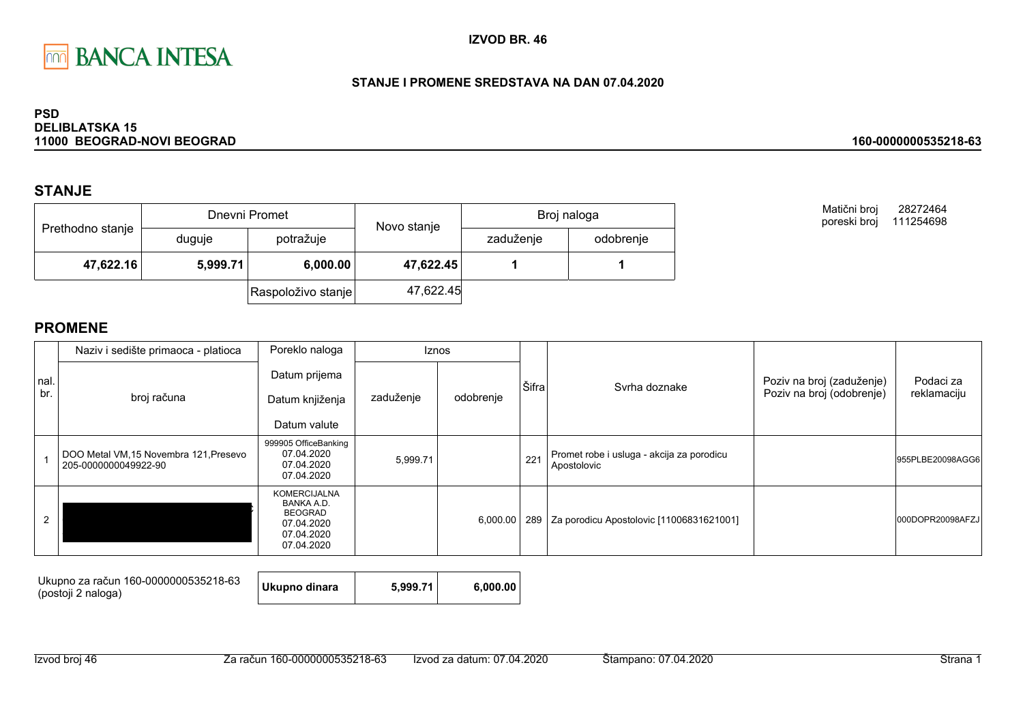

### STANJE I PROMENE SREDSTAVA NA DAN 07.04.2020

#### **PSD DELIBLATSKA 15** 11000 BEOGRAD-NOVI BEOGRAD

### **STANJE**

|                  |          | Dnevni Promet      | Novo stanje | Broj naloga |           |  |
|------------------|----------|--------------------|-------------|-------------|-----------|--|
| Prethodno stanje | duguje   | potražuje          | zaduženje   |             | odobrenje |  |
| 47,622.16        | 5,999.71 | 6,000.00           | 47,622.45   |             |           |  |
|                  |          | Raspoloživo stanje | 47,622.45   |             |           |  |

**PROMENE** 

|             | Naziv i sedište primaoca - platioca                            | Poreklo naloga                                                                                | Iznos     |           |       |                                                          |                                                        |                          |
|-------------|----------------------------------------------------------------|-----------------------------------------------------------------------------------------------|-----------|-----------|-------|----------------------------------------------------------|--------------------------------------------------------|--------------------------|
| nal.<br>br. | broj računa                                                    | Datum prijema<br>Datum knjiženja<br>Datum valute                                              | zaduženje | odobrenje | Šifra | Svrha doznake                                            | Poziv na broj (zaduženje)<br>Poziv na broj (odobrenje) | Podaci za<br>reklamaciju |
|             | DOO Metal VM, 15 Novembra 121, Presevo<br>205-0000000049922-90 | 999905 OfficeBanking<br>07.04.2020<br>07.04.2020<br>07.04.2020                                | 5,999.71  |           | 221   | Promet robe i usluga - akcija za porodicu<br>Apostolovic |                                                        | 955PLBE20098AGG6         |
| 2           |                                                                | <b>KOMERCIJALNA</b><br>BANKA A.D.<br><b>BEOGRAD</b><br>07.04.2020<br>07.04.2020<br>07.04.2020 |           | 6,000.00  | 289   | Za porodicu Apostolovic [11006831621001]                 |                                                        | 000DOPR20098AFZJ         |

| Ukupno za račun 160-0000000535218-63 | Ukupno dinara | 5.999.71 | 6.000.00 |
|--------------------------------------|---------------|----------|----------|
| (postoji 2 naloga)                   |               |          |          |

160-0000000535218-63

28272464

Matični broj

poreski broj 111254698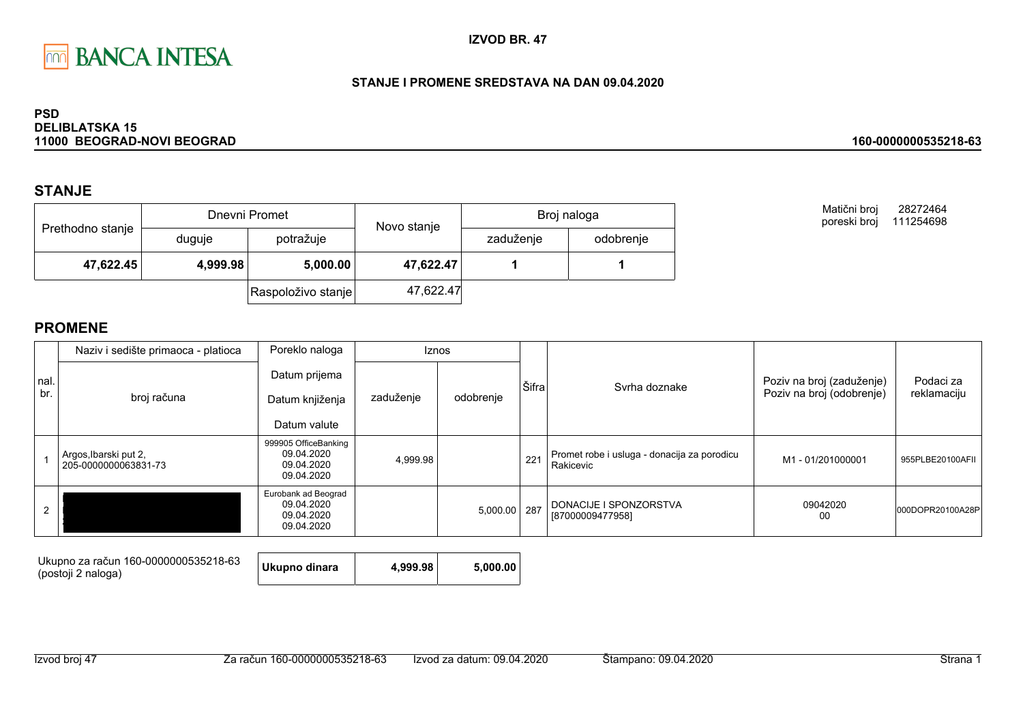

#### STANJE I PROMENE SREDSTAVA NA DAN 09.04.2020

#### **PSD DELIBLATSKA 15** 11000 BEOGRAD-NOVI BEOGRAD

### **STANJE**

| Prethodno stanje |          | Dnevni Promet      | Novo stanje | Broj naloga |           |  |
|------------------|----------|--------------------|-------------|-------------|-----------|--|
|                  | duguje   | potražuje          |             | zaduženje   | odobrenje |  |
| 47,622.45        | 4,999.98 | 5,000.00           | 47,622.47   |             |           |  |
|                  |          | Raspoloživo stanje | 47,622.47   |             |           |  |

**PROMENE** 

|      | Naziv i sedište primaoca - platioca           | Poreklo naloga                                                 | <b>Iznos</b> |           |       |                                                          |                                                        | Podaci za<br>reklamaciju |
|------|-----------------------------------------------|----------------------------------------------------------------|--------------|-----------|-------|----------------------------------------------------------|--------------------------------------------------------|--------------------------|
| nal. |                                               | Datum prijema                                                  |              |           | Šifra | Syrha doznake                                            | Poziv na broj (zaduženje)<br>Poziv na broj (odobrenje) |                          |
| br.  | broj računa                                   | Datum knjiženja                                                | zaduženje    | odobrenje |       |                                                          |                                                        |                          |
|      |                                               | Datum valute                                                   |              |           |       |                                                          |                                                        |                          |
|      | Argos, Ibarski put 2,<br>205-0000000063831-73 | 999905 OfficeBanking<br>09.04.2020<br>09.04.2020<br>09.04.2020 | 4,999.98     |           | 221   | Promet robe i usluga - donacija za porodicu<br>Rakicevic | M1 - 01/201000001                                      | 955PLBE20100AFII         |
| 2    |                                               | Eurobank ad Beograd<br>09.04.2020<br>09.04.2020<br>09.04.2020  |              | 5,000.00  | 287   | DONACIJE I SPONZORSTVA<br>[87000009477958]               | 09042020<br>00                                         | 000DOPR20100A28P         |

| Ukupno za račun 160-0000000535218-63<br>(postoji 2 naloga) | Ukupno dinara | 4.999.98 | 5.000.00 |
|------------------------------------------------------------|---------------|----------|----------|
|------------------------------------------------------------|---------------|----------|----------|

160-0000000535218-63

28272464

Matični broj

poreski broj 111254698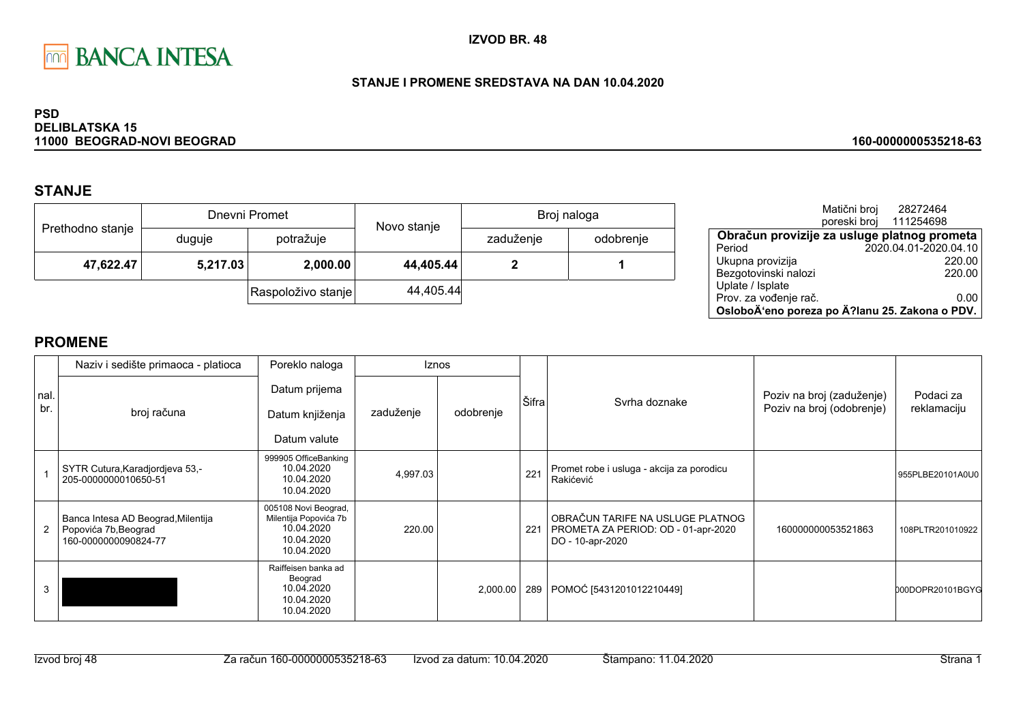

### STANJE I PROMENE SREDSTAVA NA DAN 10.04.2020

#### **PSD DELIBLATSKA 15** 11000 BEOGRAD-NOVI BEOGRAD

## **STANJE**

| Prethodno stanje |          | Dnevni Promet      | Novo stanje | Broj naloga |           |  |
|------------------|----------|--------------------|-------------|-------------|-----------|--|
|                  | duguje   | potražuje          |             | zaduženje   | odobrenje |  |
| 47,622.47        | 5,217.03 | 2,000.00           | 44,405.44   |             |           |  |
|                  |          | Raspoloživo stanje | 44,405.44   |             |           |  |

|                                                | Matični broj | 28272464               |      |
|------------------------------------------------|--------------|------------------------|------|
|                                                |              | poreski broj 111254698 |      |
| Obračun provizije za usluge platnog prometa    |              |                        |      |
| Period                                         |              | 2020.04.01-2020.04.10  |      |
| Ukupna provizija                               |              | 220.00                 |      |
| Bezgotovinski nalozi                           |              | 220.00                 |      |
| Uplate / Isplate                               |              |                        |      |
| Prov. za vođenje rač.                          |              |                        | 0.00 |
| OsloboÄ'eno poreza po Ä?lanu 25. Zakona o PDV. |              |                        |      |

### **PROMENE**

|             | Naziv i sedište primaoca - platioca                                                | Poreklo naloga                                                                          |           | <b>Iznos</b> |       |                                                                                             |                                                        |                          |
|-------------|------------------------------------------------------------------------------------|-----------------------------------------------------------------------------------------|-----------|--------------|-------|---------------------------------------------------------------------------------------------|--------------------------------------------------------|--------------------------|
| nal.<br>br. | broj računa                                                                        | Datum prijema<br>Datum knjiženja<br>Datum valute                                        | zaduženje | odobrenje    | Šifra | Syrha doznake                                                                               | Poziv na broj (zaduženje)<br>Poziv na broj (odobrenje) | Podaci za<br>reklamaciju |
|             | SYTR Cutura, Karadjordjeva 53,-<br>205-0000000010650-51                            | 999905 OfficeBanking<br>10.04.2020<br>10.04.2020<br>10.04.2020                          | 4,997.03  |              | 221   | Promet robe i usluga - akcija za porodicu<br>Rakićević                                      |                                                        | 955PLBE20101A0U0         |
|             | Banca Intesa AD Beograd, Milentija<br>Popovića 7b, Beograd<br>160-0000000090824-77 | 005108 Novi Beograd,<br>Milentija Popovića 7b<br>10.04.2020<br>10.04.2020<br>10.04.2020 | 220.00    |              | 221   | OBRAČUN TARIFE NA USLUGE PLATNOG<br>PROMETA ZA PERIOD: OD - 01-apr-2020<br>DO - 10-apr-2020 | 160000000053521863                                     | 108PLTR201010922         |
| 3           |                                                                                    | Raiffeisen banka ad<br>Beograd<br>10.04.2020<br>10.04.2020<br>10.04.2020                |           | 2,000.00     | 289   | POMOĆ [5431201012210449]                                                                    |                                                        | 000DOPR20101BGYG         |

#### 160-0000000535218-63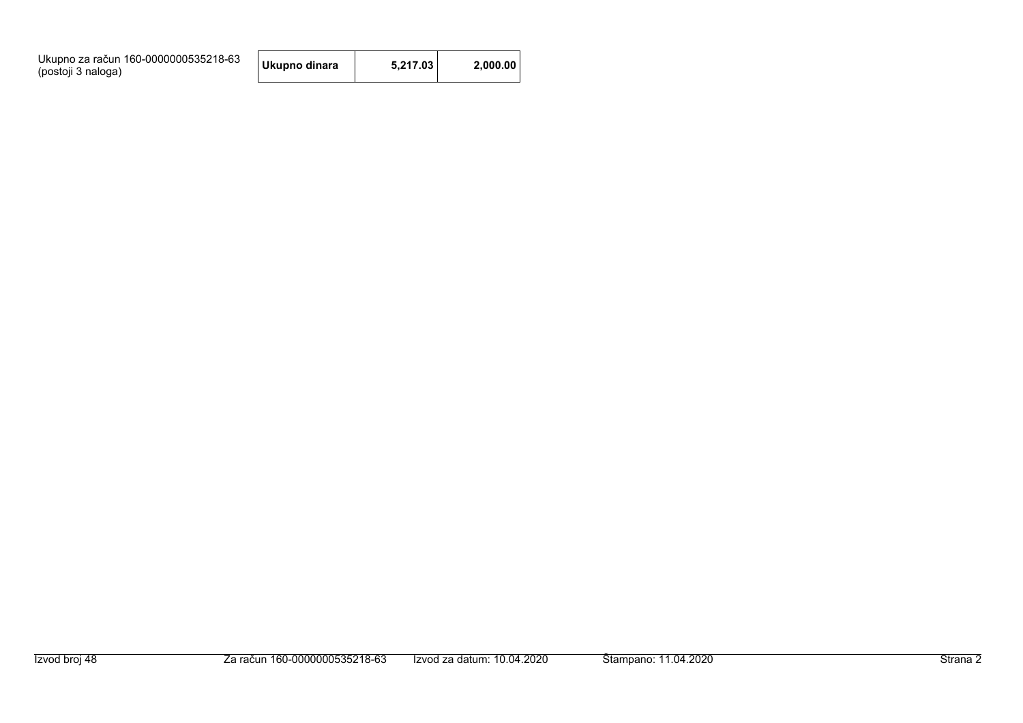| Ukupno za račun 160-0000000535218-63<br>(postoji 3 naloga) | Ukupno dinara | 5.217.03 | 2.000.00 |
|------------------------------------------------------------|---------------|----------|----------|
|------------------------------------------------------------|---------------|----------|----------|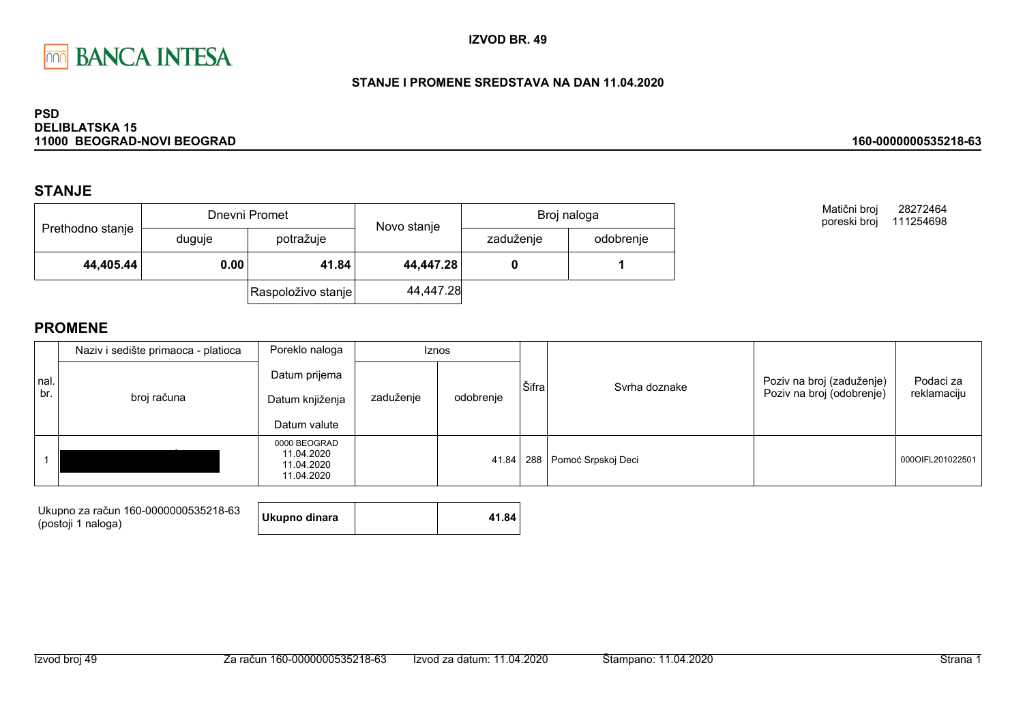

### STANJE I PROMENE SREDSTAVA NA DAN 11.04.2020

#### **PSD DELIBLATSKA 15** 11000 BEOGRAD-NOVI BEOGRAD

### **STANJE**

| Prethodno stanje |        | Dnevni Promet      | Novo stanje | Broj naloga |           |  |
|------------------|--------|--------------------|-------------|-------------|-----------|--|
|                  | duguje | potražuje          |             | zaduženje   | odobrenje |  |
| 44,405.44        | 0.00   | 41.84              | 44,447.28   |             |           |  |
|                  |        | Raspoloživo stanje | 44,447.28   |             |           |  |

Matični broj 28272464 poreski broj 111254698

160-0000000535218-63

|             | Naziv i sedište primaoca - platioca | Poreklo naloga                                         |           | <b>Iznos</b> |       |                        |                                                        |                          |
|-------------|-------------------------------------|--------------------------------------------------------|-----------|--------------|-------|------------------------|--------------------------------------------------------|--------------------------|
| nal.<br>br. | broj računa                         | Datum prijema<br>Datum knjiženja<br>Datum valute       | zaduženje | odobrenje    | Šifra | Syrha doznake          | Poziv na broj (zaduženje)<br>Poziv na broj (odobrenje) | Podaci za<br>reklamaciju |
|             |                                     | 0000 BEOGRAD<br>11.04.2020<br>11.04.2020<br>11.04.2020 |           | 41.84        |       | 288 Pomoć Srpskoj Deci |                                                        | 000OIFL201022501         |

| Ukupno za račun 160-0000000535218-63<br>(postoji 1 naloga) | Ukupno dinara | 41.84 |
|------------------------------------------------------------|---------------|-------|
|                                                            |               |       |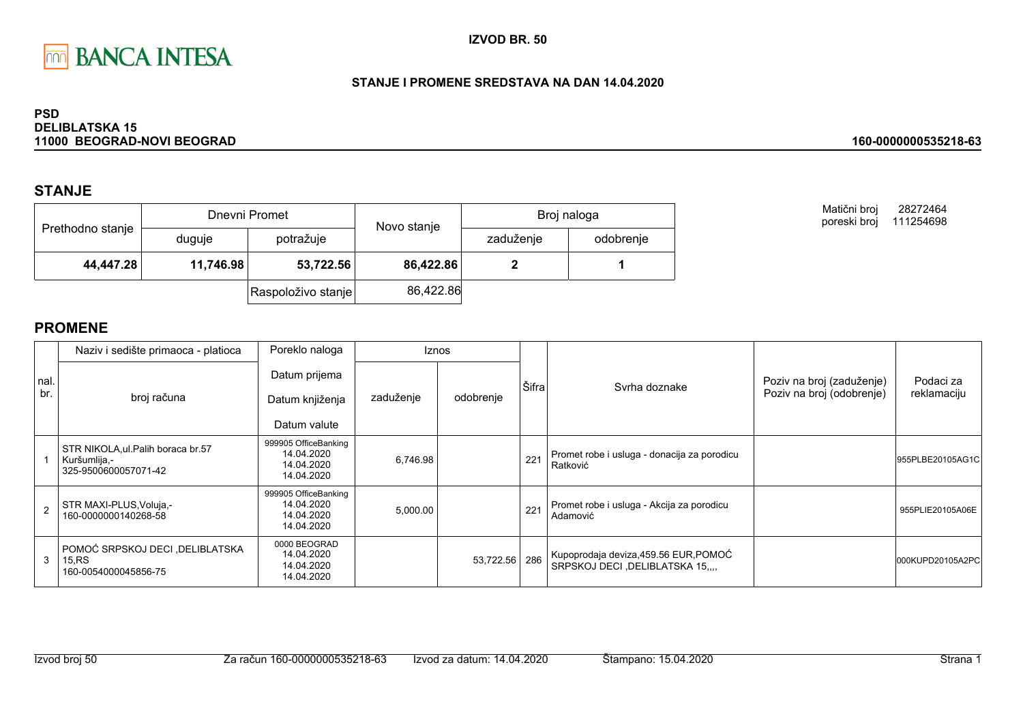

### STANJE I PROMENE SREDSTAVA NA DAN 14.04.2020

#### **PSD DELIBLATSKA 15** 11000 BEOGRAD-NOVI BEOGRAD

### **STANJE**

| Prethodno stanje |           | Dnevni Promet      | Novo stanje | Broj naloga |           |  |
|------------------|-----------|--------------------|-------------|-------------|-----------|--|
|                  | duguje    | potražuje          |             | zaduženje   | odobrenje |  |
| 44,447.28        | 11,746.98 | 53,722.56          | 86,422.86   |             |           |  |
|                  |           | Raspoloživo stanje | 86,422.86   |             |           |  |

Matični broj 28272464 poreski broj 111254698

160-0000000535218-63

|            | Naziv i sedište primaoca - platioca                                        | Poreklo naloga                                                 |           | Iznos     |       |                                                                       |                                                        |                          |
|------------|----------------------------------------------------------------------------|----------------------------------------------------------------|-----------|-----------|-------|-----------------------------------------------------------------------|--------------------------------------------------------|--------------------------|
| nal<br>br. | broj računa                                                                | Datum prijema<br>Datum knjiženja                               | zaduženje | odobrenje | Šifra | Syrha doznake                                                         | Poziv na broj (zaduženje)<br>Poziv na broj (odobrenje) | Podaci za<br>reklamaciju |
|            |                                                                            | Datum valute                                                   |           |           |       |                                                                       |                                                        |                          |
|            | STR NIKOLA, ul. Palih boraca br.57<br>Kuršumlija,-<br>325-9500600057071-42 | 999905 OfficeBanking<br>14.04.2020<br>14.04.2020<br>14.04.2020 | 6,746.98  |           | 221   | Promet robe i usluga - donacija za porodicu<br>Ratković               |                                                        | 955PLBE20105AG1C         |
| 2          | STR MAXI-PLUS, Voluja,-<br>160-0000000140268-58                            | 999905 OfficeBanking<br>14.04.2020<br>14.04.2020<br>14.04.2020 | 5,000.00  |           | 221   | Promet robe i usluga - Akcija za porodicu<br>Adamović                 |                                                        | 955PLIE20105A06E         |
| 3          | POMOĆ SRPSKOJ DECI , DELIBLATSKA<br>15.RS<br>160-0054000045856-75          | 0000 BEOGRAD<br>14.04.2020<br>14.04.2020<br>14.04.2020         |           | 53,722.56 | 286   | Kupoprodaja deviza, 459.56 EUR, POMOĆ<br>SRPSKOJ DECI ,DELIBLATSKA 15 |                                                        | 000KUPD20105A2PC         |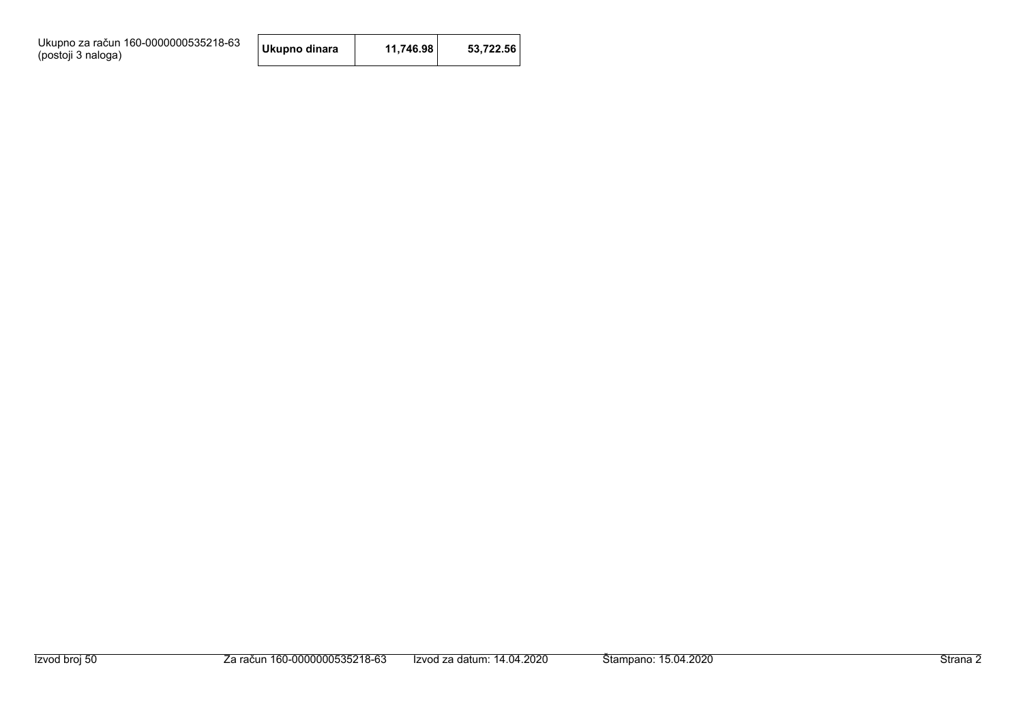Ukupno za račun 160-0000000535218-63<br>(postoji 3 naloga)

| Ukupno dinara | 11,746.98 | 53,722.56 |
|---------------|-----------|-----------|
|---------------|-----------|-----------|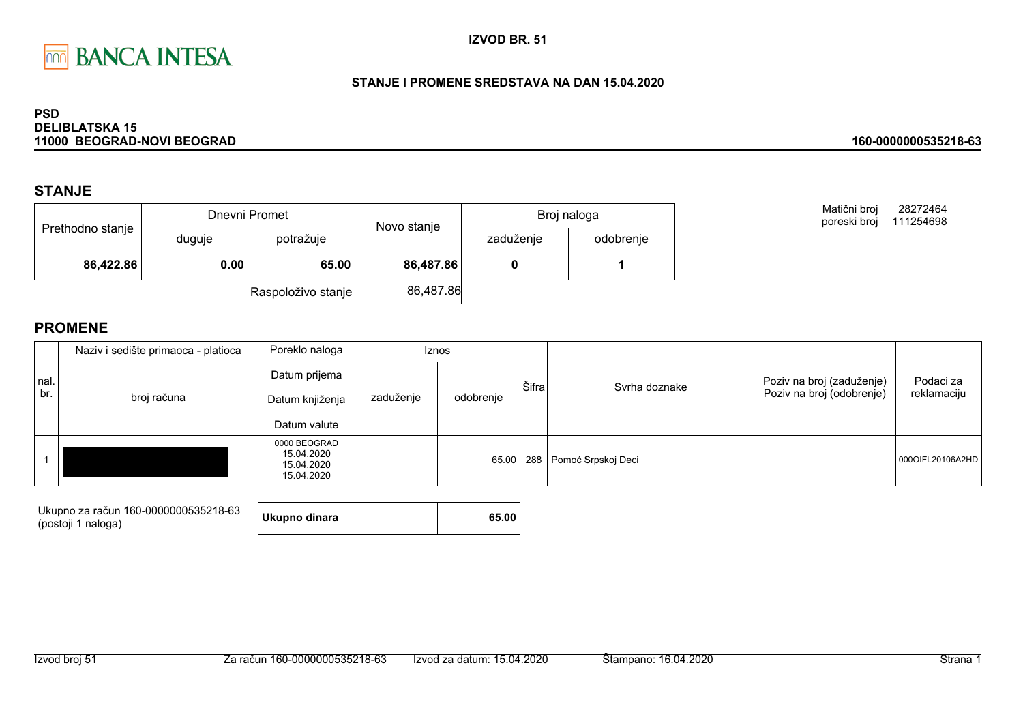

### STANJE I PROMENE SREDSTAVA NA DAN 15.04.2020

#### **PSD DELIBLATSKA 15** 11000 BEOGRAD-NOVI BEOGRAD

### **STANJE**

|                  |        | Dnevni Promet      | Novo stanje | Broj naloga |           |  |
|------------------|--------|--------------------|-------------|-------------|-----------|--|
| Prethodno stanje | duguje | potražuje          |             | zaduženje   | odobrenje |  |
| 86,422.86        | 0.00   | 65.00              | 86,487.86   |             |           |  |
|                  |        | Raspoloživo stanje | 86,487.86   |             |           |  |

Matični broj 28272464 poreski broj 111254698

160-0000000535218-63

|             | Naziv i sedište primaoca - platioca | Poreklo naloga                                         |           | <b>Iznos</b> |       |                        |                                                        |                          |
|-------------|-------------------------------------|--------------------------------------------------------|-----------|--------------|-------|------------------------|--------------------------------------------------------|--------------------------|
| nal.<br>br. | broj računa                         | Datum prijema<br>Datum knjiženja<br>Datum valute       | zaduženje | odobrenje    | Šifra | Syrha doznake          | Poziv na broj (zaduženje)<br>Poziv na broj (odobrenje) | Podaci za<br>reklamaciju |
|             |                                     | 0000 BEOGRAD<br>15.04.2020<br>15.04.2020<br>15.04.2020 |           | 65.00        |       | 288 Pomoć Srpskoj Deci |                                                        | 0000IFL20106A2HD         |

| Ukupno za račun 160-0000000535218-63 |               |       |
|--------------------------------------|---------------|-------|
| (postoji 1 naloga)                   | Ukupno dinara | 65.00 |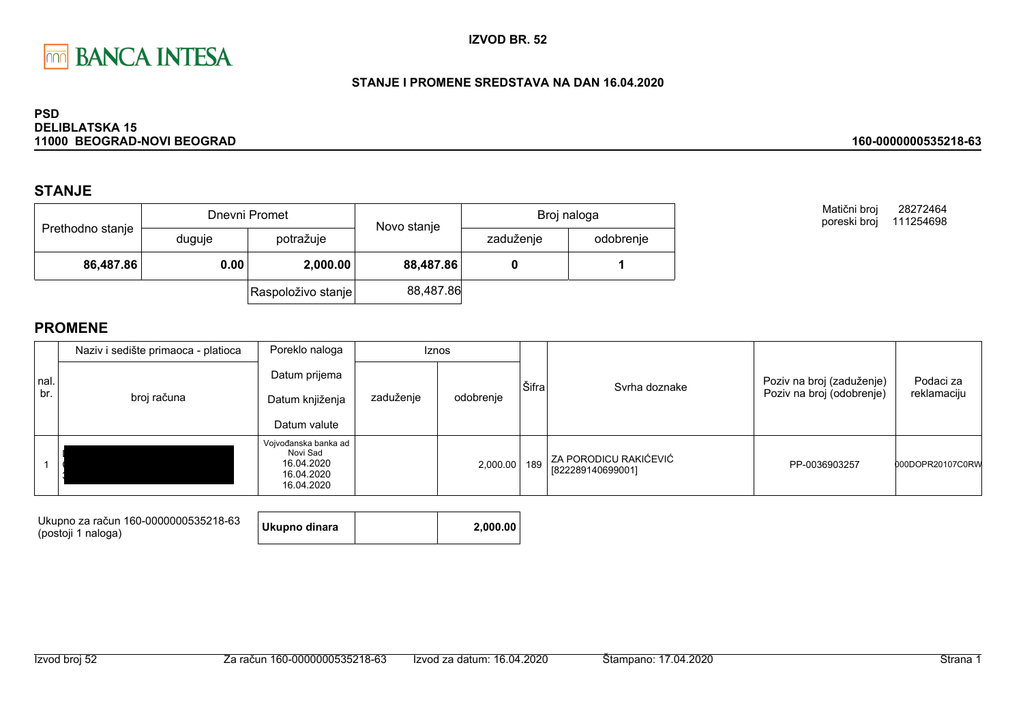

### STANJE I PROMENE SREDSTAVA NA DAN 16.04.2020

#### **PSD DELIBLATSKA 15** 11000 BEOGRAD-NOVI BEOGRAD

### **STANJE**

|                  |        | Dnevni Promet      |                                                                 | Broj naloga |  |  |
|------------------|--------|--------------------|-----------------------------------------------------------------|-------------|--|--|
| Prethodno stanje | duguje | potražuje          | Novo stanje<br>zaduženje<br>odobrenje<br>88,487.86<br>88,487.86 |             |  |  |
| 86,487.86        | 0.00   | 2,000.00           |                                                                 |             |  |  |
|                  |        | Raspoloživo stanje |                                                                 |             |  |  |

Matični broj 28272464 poreski broj 111254698

160-0000000535218-63

|             | Naziv i sedište primaoca - platioca | Poreklo naloga                                                             | Iznos     |           |       |                                            |                                                        |                          |
|-------------|-------------------------------------|----------------------------------------------------------------------------|-----------|-----------|-------|--------------------------------------------|--------------------------------------------------------|--------------------------|
| nal.<br>br. | broj računa                         | Datum prijema<br>Datum knjiženja<br>Datum valute                           | zaduženje | odobrenje | Šifra | Syrha doznake                              | Poziv na broj (zaduženje)<br>Poziv na broj (odobrenje) | Podaci za<br>reklamaciju |
|             |                                     | Vojvođanska banka ad<br>Novi Sad<br>16.04.2020<br>16.04.2020<br>16.04.2020 |           | 2,000.00  | 189   | ZA PORODICU RAKIĆEVIĆ<br>[822289140699001] | PP-0036903257                                          | 000DOPR20107C0RW         |

| Ukupno za račun 160-0000000535218-63<br>(postoji 1 naloga) | Ukupno dinara |  | 2.000.00 |
|------------------------------------------------------------|---------------|--|----------|
|------------------------------------------------------------|---------------|--|----------|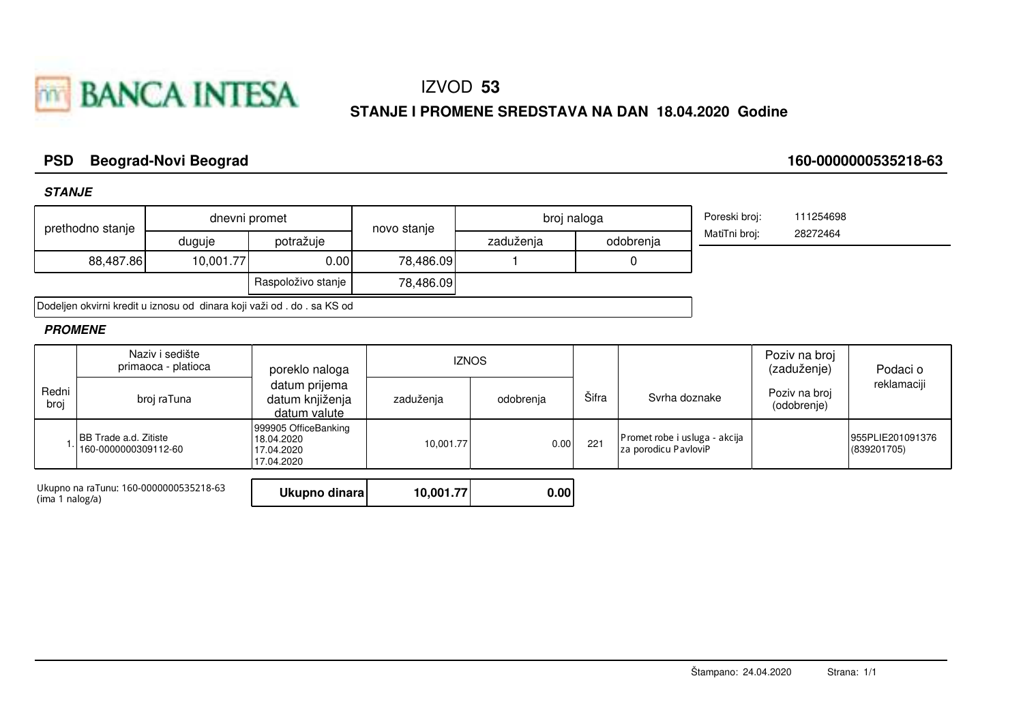

# IZVOD 53

### STANJE I PROMENE SREDSTAVA NA DAN 18.04.2020 Godine

#### **PSD Beograd-Novi Beograd**

**STANJE** 

160-0000000535218-63

|                 | prethodno stanje                              |                                        | dnevni promet                                                           | novo stanje | broj naloga        |     |                                                       | Poreski broj: | 111254698                    |                                 |
|-----------------|-----------------------------------------------|----------------------------------------|-------------------------------------------------------------------------|-------------|--------------------|-----|-------------------------------------------------------|---------------|------------------------------|---------------------------------|
|                 |                                               | duguje                                 | potražuje                                                               |             | zaduženja          |     | odobrenja                                             | MatiTni broj: | 28272464                     |                                 |
|                 | 88,487.86                                     | 10,001.77                              | 0.00                                                                    | 78,486.09   |                    | 0   |                                                       |               |                              |                                 |
|                 |                                               |                                        | Raspoloživo stanje                                                      | 78,486.09   |                    |     |                                                       |               |                              |                                 |
|                 |                                               |                                        | Dodeljen okvirni kredit u iznosu od dinara koji važi od . do . sa KS od |             |                    |     |                                                       |               |                              |                                 |
| <b>PROMENE</b>  |                                               |                                        |                                                                         |             |                    |     |                                                       |               |                              |                                 |
|                 | Naziv i sedište<br>primaoca - platioca        |                                        | poreklo naloga                                                          |             | <b>IZNOS</b>       |     |                                                       |               | Poziv na broj<br>(zaduženje) | Podaci o                        |
| Redni<br>broj   | broj raTuna                                   |                                        | datum prijema<br>datum knjiženja<br>datum valute                        | zaduženja   | Šifra<br>odobrenja |     | Svrha doznake                                         |               | Poziv na broj<br>(odobrenje) | reklamaciji                     |
|                 | BB Trade a.d. Zitiste<br>160-0000000309112-60 |                                        | 999905 OfficeBanking<br>18.04.2020<br>17.04.2020<br>17.04.2020          | 10,001.77   | 0.00               | 221 | Promet robe i usluga - akcija<br>za porodicu PavloviP |               |                              | 955PLIE201091376<br>(839201705) |
| (ima 1 nalog/a) |                                               | Ukupno na raTunu: 160-0000000535218-63 | Ukupno dinara                                                           | 10,001.77   | 0.00               |     |                                                       |               |                              |                                 |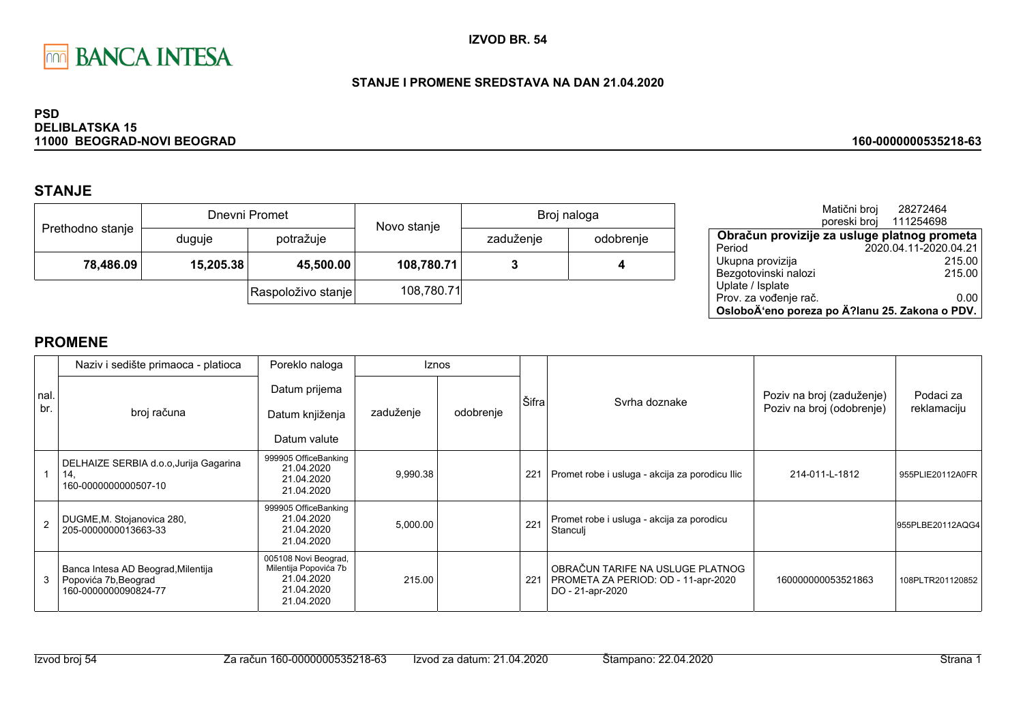

### STANJE I PROMENE SREDSTAVA NA DAN 21.04.2020

#### **PSD DELIBLATSKA 15** 11000 BEOGRAD-NOVI BEOGRAD

## **STANJE**

|                  |           | Dnevni Promet      | Novo stanje | Broj naloga |           |  |
|------------------|-----------|--------------------|-------------|-------------|-----------|--|
| Prethodno stanje | duguje    | potražuje          |             | zaduženje   | odobrenje |  |
| 78,486.09        | 15,205.38 | 45,500.00          | 108,780.71  |             | 4         |  |
|                  |           | Raspoloživo stanje | 108,780.71  |             |           |  |

|                                                | Matični broj<br>poreski broj | 28272464<br>111254698 |      |
|------------------------------------------------|------------------------------|-----------------------|------|
| Obračun provizije za usluge platnog prometa    |                              |                       |      |
| Period                                         |                              | 2020.04.11-2020.04.21 |      |
| Ukupna provizija                               |                              | 215.00                |      |
| Bezgotovinski nalozi                           |                              | 215.00                |      |
| Uplate / Isplate                               |                              |                       |      |
| Prov. za vođenje rač.                          |                              |                       | 0.00 |
| OsloboÄ'eno poreza po Ä?lanu 25. Zakona o PDV. |                              |                       |      |

160-0000000535218-63

|             | Naziv i sedište primaoca - platioca                                                | Poreklo naloga                                                                          | <b>Iznos</b> |           |       |                                                                                             |                                                        |                          |
|-------------|------------------------------------------------------------------------------------|-----------------------------------------------------------------------------------------|--------------|-----------|-------|---------------------------------------------------------------------------------------------|--------------------------------------------------------|--------------------------|
| nal.<br>br. | broj računa                                                                        | Datum prijema<br>Datum knjiženja<br>Datum valute                                        | zaduženje    | odobrenje | Šifra | Syrha doznake                                                                               | Poziv na broj (zaduženje)<br>Poziv na broj (odobrenje) | Podaci za<br>reklamaciju |
|             | DELHAIZE SERBIA d.o.o, Jurija Gagarina<br>14,<br>160-0000000000507-10              | 999905 OfficeBanking<br>21.04.2020<br>21.04.2020<br>21.04.2020                          | 9,990.38     |           | 221   | Promet robe i usluga - akcija za porodicu Ilic                                              | 214-011-L-1812                                         | 955PLIE20112A0FR         |
|             | DUGME, M. Stojanovica 280,<br>205-0000000013663-33                                 | 999905 OfficeBanking<br>21.04.2020<br>21.04.2020<br>21.04.2020                          | 5,000.00     |           | 221   | Promet robe i usluga - akcija za porodicu<br>Stanculj                                       |                                                        | 955PLBE20112AQG4         |
| 3           | Banca Intesa AD Beograd, Milentija<br>Popovića 7b, Beograd<br>160-0000000090824-77 | 005108 Novi Beograd,<br>Milentija Popovića 7b<br>21.04.2020<br>21.04.2020<br>21.04.2020 | 215.00       |           | 221   | OBRAČUN TARIFE NA USLUGE PLATNOG<br>PROMETA ZA PERIOD: OD - 11-apr-2020<br>DO - 21-apr-2020 | 160000000053521863                                     | 108PLTR201120852         |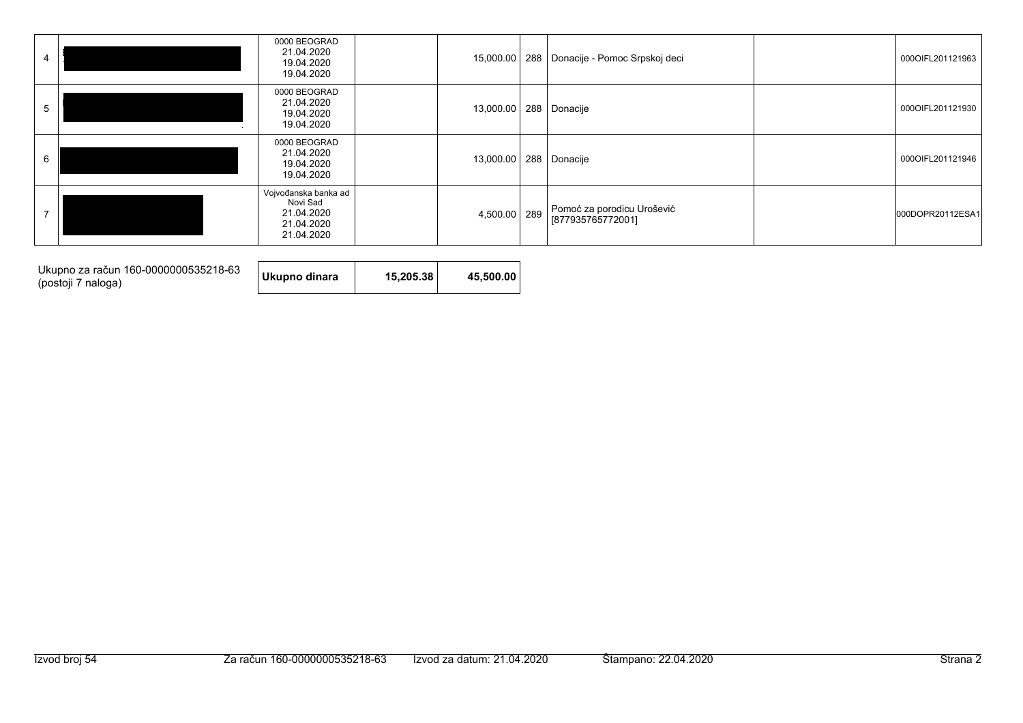|             | 0000 BEOGRAD<br>21.04.2020<br>19.04.2020<br>19.04.2020                     |           |     | 15,000.00   288   Donacije - Pomoc Srpskoj deci | 000OIFL201121963 |
|-------------|----------------------------------------------------------------------------|-----------|-----|-------------------------------------------------|------------------|
| $\mathbf b$ | 0000 BEOGRAD<br>21.04.2020<br>19.04.2020<br>19.04.2020                     | 13,000.00 |     | 288 Donacije                                    | 000OIFL201121930 |
| 6           | 0000 BEOGRAD<br>21.04.2020<br>19.04.2020<br>19.04.2020                     | 13,000.00 |     | 288 Donacije                                    | 000OIFL201121946 |
|             | Vojvođanska banka ad<br>Novi Sad<br>21.04.2020<br>21.04.2020<br>21.04.2020 | 4,500.00  | 289 | Pomoć za porodicu Urošević<br>[877935765772001] | 000DOPR20112ESA1 |

Ukupno za račun 160-0000000535218-63<br>(postoji 7 naloga)

Ukupno dinara 15,205.38 45,500.00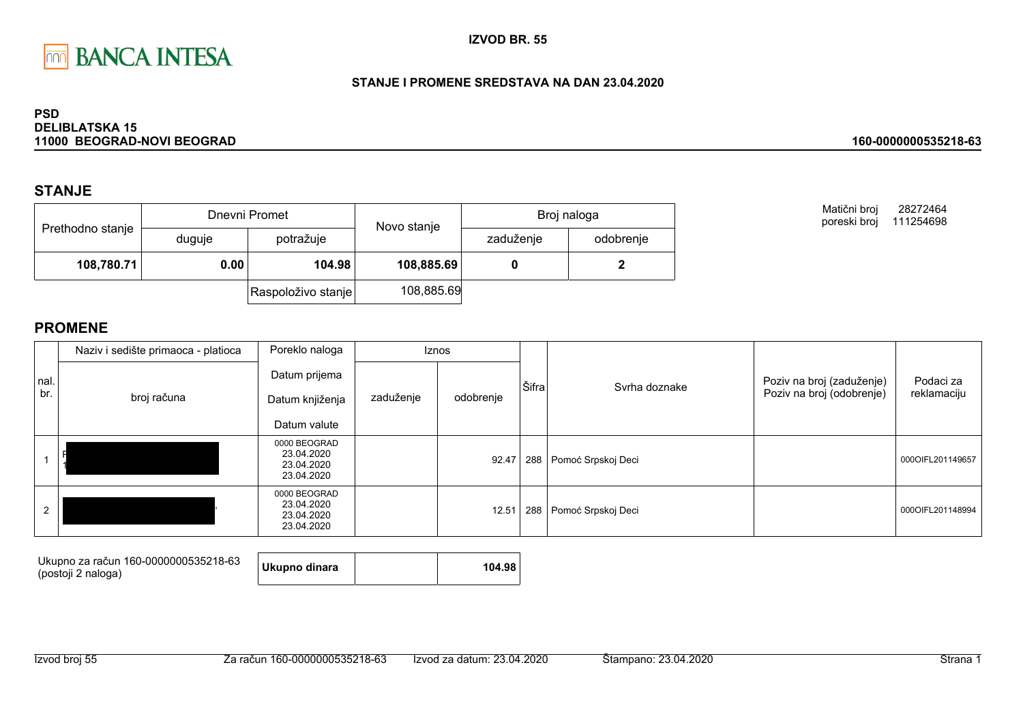

#### STANJE I PROMENE SREDSTAVA NA DAN 23.04.2020

#### **PSD DELIBLATSKA 15** 11000 BEOGRAD-NOVI BEOGRAD

### **STANJE**

|                  |                     | Dnevni Promet      | Novo stanje | Broj naloga |           |  |
|------------------|---------------------|--------------------|-------------|-------------|-----------|--|
| Prethodno stanje | potražuje<br>duguje |                    |             | zaduženje   | odobrenje |  |
| 108,780.71       | 0.00                | 104.98             | 108,885.69  |             |           |  |
|                  |                     | Raspoloživo stanje | 108,885.69  |             |           |  |

Matični broj 28272464 poreski broj 111254698

160-0000000535218-63

|      | Naziv i sedište primaoca - platioca | Poreklo naloga                                         |           | <b>Iznos</b> |       |                    |                           |                  |
|------|-------------------------------------|--------------------------------------------------------|-----------|--------------|-------|--------------------|---------------------------|------------------|
| nal. |                                     | Datum prijema                                          |           |              | Šifra | Svrha doznake      | Poziv na broj (zaduženje) | Podaci za        |
| br.  | broj računa                         | Datum knjiženja                                        | zaduženje | odobrenje    |       |                    | Poziv na broj (odobrenje) | reklamaciju      |
|      |                                     | Datum valute                                           |           |              |       |                    |                           |                  |
|      |                                     | 0000 BEOGRAD<br>23.04.2020<br>23.04.2020<br>23.04.2020 |           | 92.47        | 288   | Pomoć Srpskoj Deci |                           | 000OIFL201149657 |
|      |                                     | 0000 BEOGRAD<br>23.04.2020<br>23.04.2020<br>23.04.2020 |           | 12.51        | 288   | Pomoć Srpskoj Deci |                           | 000OIFL201148994 |

| Ukupno za račun 160-0000000535218-63<br>(postoji 2 naloga) | Ukupno dinara |  | 104.98 |
|------------------------------------------------------------|---------------|--|--------|
|------------------------------------------------------------|---------------|--|--------|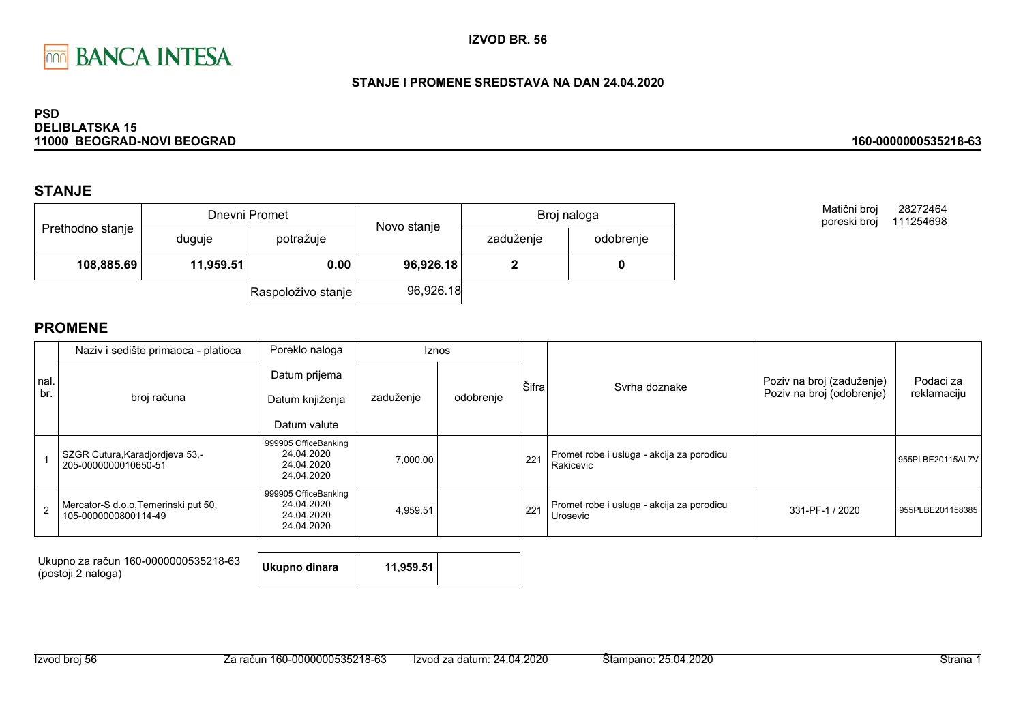

#### STANJE I PROMENE SREDSTAVA NA DAN 24.04.2020

#### **PSD DELIBLATSKA 15** 11000 BEOGRAD-NOVI BEOGRAD

### **STANJE**

|                  |           | Dnevni Promet      | Novo stanje | Broj naloga |           |  |
|------------------|-----------|--------------------|-------------|-------------|-----------|--|
| Prethodno stanje | duguje    | potražuje          |             | zaduženje   | odobrenje |  |
| 108,885.69       | 11,959.51 | 0.00               | 96,926.18   |             |           |  |
|                  |           | Raspoloživo stanje | 96,926.18   |             |           |  |

Matični broj 28272464 poreski broj 111254698

160-0000000535218-63

|      | Naziv i sedište primaoca - platioca                          | Poreklo naloga                                                 |           | <b>Iznos</b> |       |                                                        |                           |                  |
|------|--------------------------------------------------------------|----------------------------------------------------------------|-----------|--------------|-------|--------------------------------------------------------|---------------------------|------------------|
| nal. |                                                              | Datum prijema                                                  |           |              | Šifra | Syrha doznake                                          | Poziv na broj (zaduženje) | Podaci za        |
| br.  | broj računa                                                  | Datum knjiženja                                                | zaduženje | odobrenje    |       |                                                        | Poziv na broj (odobrenje) | reklamaciju      |
|      |                                                              | Datum valute                                                   |           |              |       |                                                        |                           |                  |
|      | SZGR Cutura, Karadjordjeva 53,-<br>205-0000000010650-51      | 999905 OfficeBanking<br>24.04.2020<br>24.04.2020<br>24.04.2020 | 7,000.00  |              | 221   | Promet robe i usluga - akcija za porodicu<br>Rakicevic |                           | 955PLBE20115AL7V |
|      | Mercator-S d.o.o, Temerinski put 50,<br>105-0000000800114-49 | 999905 OfficeBanking<br>24.04.2020<br>24.04.2020<br>24.04.2020 | 4,959.51  |              | 221   | Promet robe i usluga - akcija za porodicu<br>Urosevic  | 331-PF-1 / 2020           | 955PLBE201158385 |

| Ukupno za račun 160-0000000535218-63<br>Ukupno dinara<br>(postoji 2 naloga) | 11,959.51 |  |
|-----------------------------------------------------------------------------|-----------|--|
|-----------------------------------------------------------------------------|-----------|--|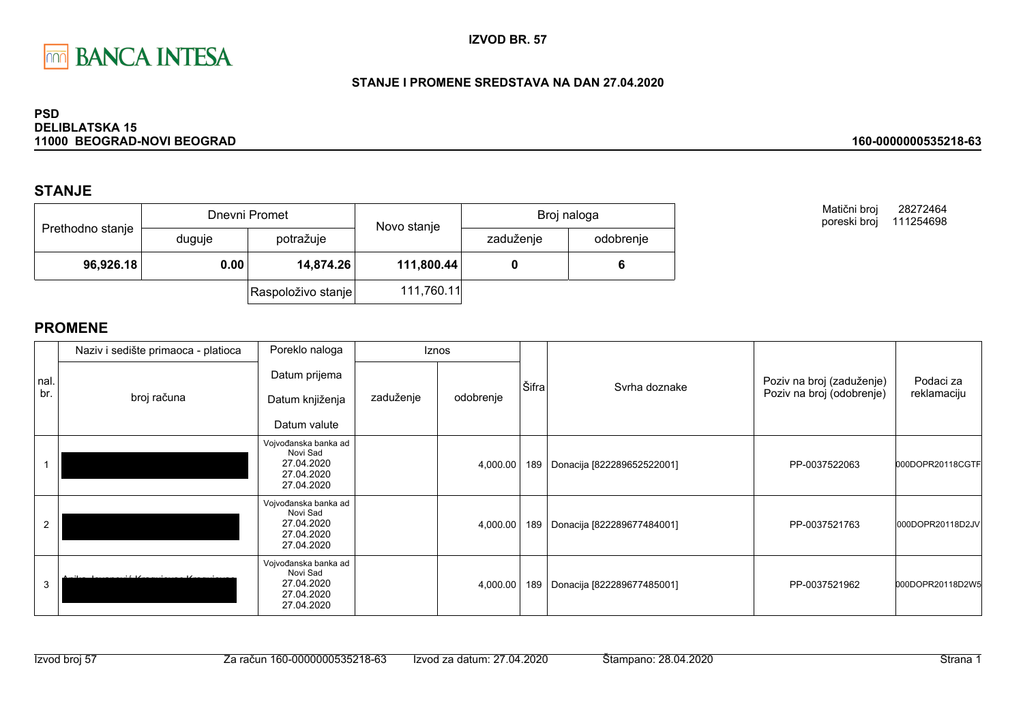

### STANJE I PROMENE SREDSTAVA NA DAN 27.04.2020

#### **PSD DELIBLATSKA 15** 11000 BEOGRAD-NOVI BEOGRAD

### **STANJE**

|                  |        | Dnevni Promet      | Novo stanje | Broj naloga |           |  |
|------------------|--------|--------------------|-------------|-------------|-----------|--|
| Prethodno stanje | duguje | potražuje          |             | zaduženje   | odobrenje |  |
| 96,926.18        | 0.00   | 14,874.26          | 111,800.44  |             |           |  |
|                  |        | Raspoloživo stanje | 111,760.11  |             |           |  |

Matični broj 28272464 poreski broj 111254698

160-0000000535218-63

|                | Naziv i sedište primaoca - platioca | Poreklo naloga                                                             |           | Iznos     |       |                            |                                                        |                          |
|----------------|-------------------------------------|----------------------------------------------------------------------------|-----------|-----------|-------|----------------------------|--------------------------------------------------------|--------------------------|
| nal.<br>br.    | broj računa                         | Datum prijema<br>Datum knjiženja<br>Datum valute                           | zaduženje | odobrenje | Šifra | Syrha doznake              | Poziv na broj (zaduženje)<br>Poziv na broj (odobrenje) | Podaci za<br>reklamaciju |
|                |                                     | Vojvođanska banka ad<br>Novi Sad<br>27.04.2020<br>27.04.2020<br>27.04.2020 |           | 4,000.00  | 189   | Donacija [822289652522001] | PP-0037522063                                          | 000DOPR20118CGTF         |
| $\overline{2}$ |                                     | Vojvođanska banka ad<br>Novi Sad<br>27.04.2020<br>27.04.2020<br>27.04.2020 |           | 4,000.00  | 189   | Donacija [822289677484001] | PP-0037521763                                          | 000DOPR20118D2JV         |
| 3              |                                     | Vojvođanska banka ad<br>Novi Sad<br>27.04.2020<br>27.04.2020<br>27.04.2020 |           | 4,000.00  | 189   | Donacija [822289677485001] | PP-0037521962                                          | 000DOPR20118D2W5         |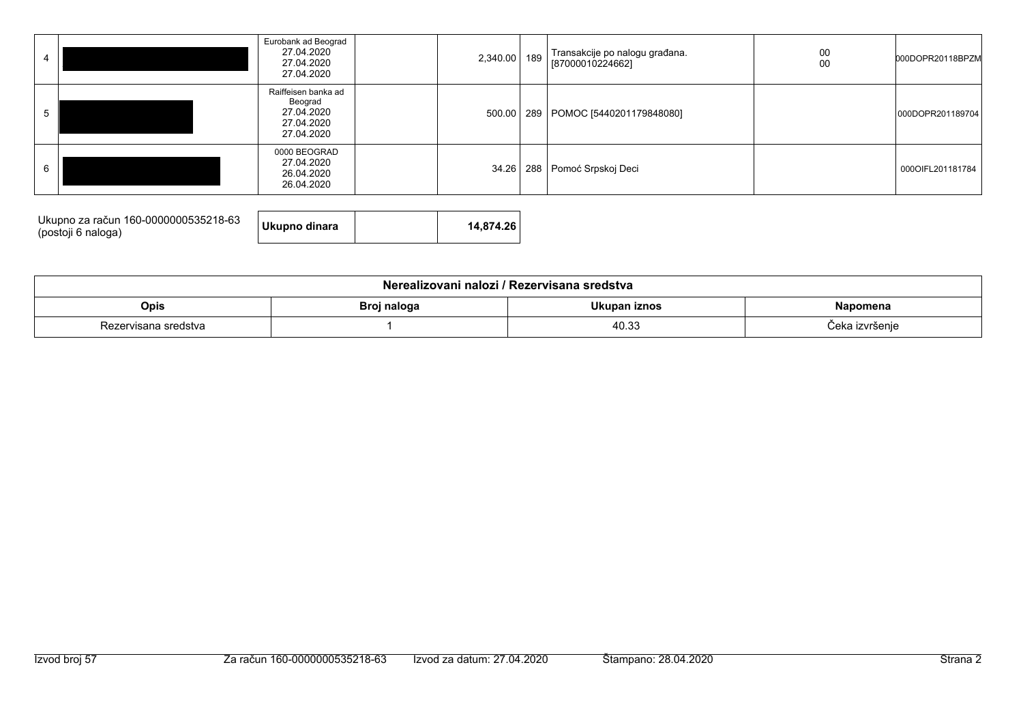|   | Eurobank ad Beograd<br>27.04.2020<br>27.04.2020<br>27.04.2020            | 2,340.00 189 | Transakcije po nalogu građana.<br>[87000010224662] | 00<br>00 | 000DOPR20118BPZM |
|---|--------------------------------------------------------------------------|--------------|----------------------------------------------------|----------|------------------|
| 5 | Raiffeisen banka ad<br>Beograd<br>27.04.2020<br>27.04.2020<br>27.04.2020 |              | 500.00 289 POMOC [5440201179848080]                |          | 000DOPR201189704 |
| 6 | 0000 BEOGRAD<br>27.04.2020<br>26.04.2020<br>26.04.2020                   |              | 34.26   288   Pomoć Srpskoj Deci                   |          | 000OIFL201181784 |

| Ukupno za račun 160-0000000535218-63<br>(postoji 6 naloga) | Ukupno dinara | 14.874.26 |
|------------------------------------------------------------|---------------|-----------|

| Nerealizovani nalozi / Rezervisana sredstva |                                                |       |                |  |  |  |  |
|---------------------------------------------|------------------------------------------------|-------|----------------|--|--|--|--|
| Opis                                        | Ukupan iznos<br>Broj naloga<br><b>Napomena</b> |       |                |  |  |  |  |
| Rezervisana sredstva                        |                                                | 40.33 | Ceka izvršenie |  |  |  |  |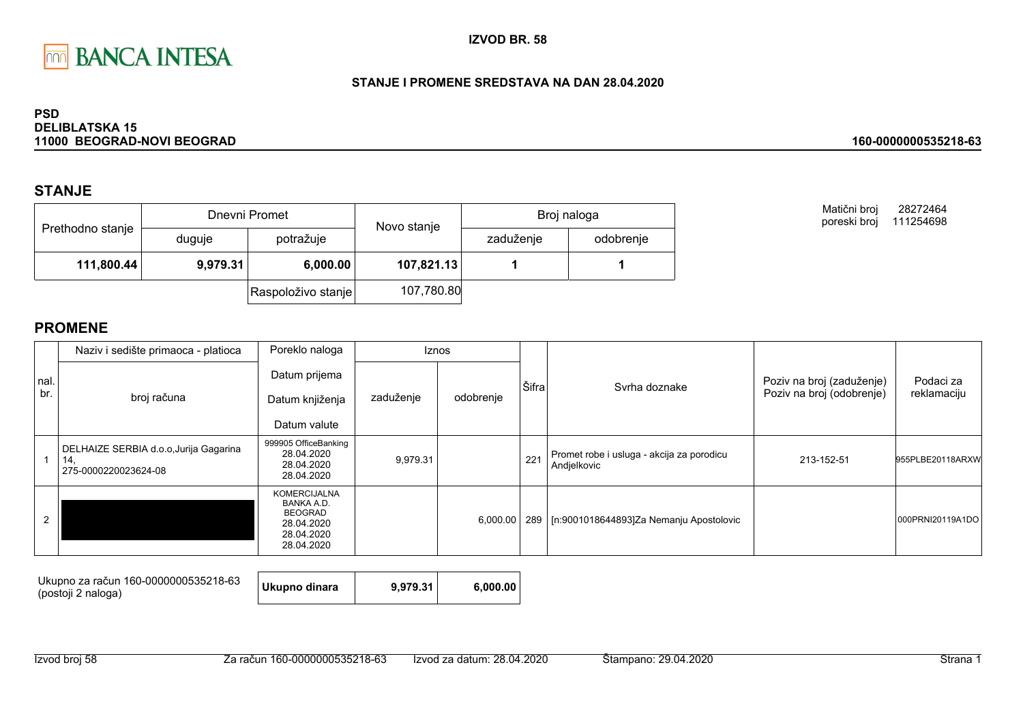

#### STANJE I PROMENE SREDSTAVA NA DAN 28.04.2020

#### **PSD DELIBLATSKA 15** 11000 BEOGRAD-NOVI BEOGRAD

### **STANJE**

|                  |          | Dnevni Promet      | Novo stanje | Broj naloga |           |  |
|------------------|----------|--------------------|-------------|-------------|-----------|--|
| Prethodno stanje | duguje   | potražuje          |             | zaduženje   | odobrenje |  |
| 111,800.44       | 9,979.31 | 6,000.00           | 107,821.13  |             |           |  |
|                  |          | Raspoloživo stanje | 107,780.80  |             |           |  |

Matični broj 28272464 poreski broj 111254698

160-0000000535218-63

|             | Naziv i sedište primaoca - platioca                                   | Poreklo naloga                                                                                | <b>Iznos</b> |           |       |                                                          |                           |                  |
|-------------|-----------------------------------------------------------------------|-----------------------------------------------------------------------------------------------|--------------|-----------|-------|----------------------------------------------------------|---------------------------|------------------|
| nal.<br>br. |                                                                       | Datum prijema                                                                                 |              |           | Šifra | Svrha doznake                                            | Poziv na broj (zaduženje) | Podaci za        |
|             | broj računa                                                           | Datum knjiženja                                                                               | zaduženje    | odobrenje |       |                                                          | Poziv na broj (odobrenje) | reklamaciju      |
|             |                                                                       | Datum valute                                                                                  |              |           |       |                                                          |                           |                  |
|             | DELHAIZE SERBIA d.o.o, Jurija Gagarina<br>14.<br>275-0000220023624-08 | 999905 OfficeBanking<br>28.04.2020<br>28.04.2020<br>28.04.2020                                | 9,979.31     |           | 221   | Promet robe i usluga - akcija za porodicu<br>Andjelkovic | 213-152-51                | 955PLBE20118ARXW |
|             |                                                                       | <b>KOMERCIJALNA</b><br>BANKA A.D.<br><b>BEOGRAD</b><br>28.04.2020<br>28.04.2020<br>28.04.2020 |              | 6,000.00  | 289   | [n:9001018644893]Za Nemanju Apostolovic                  |                           | 000PRNI20119A1DO |

| Ukupno za račun 160-0000000535218-63<br>(postoji 2 naloga) | Ukupno dinara | 9.979.31 | 6.000.00 |
|------------------------------------------------------------|---------------|----------|----------|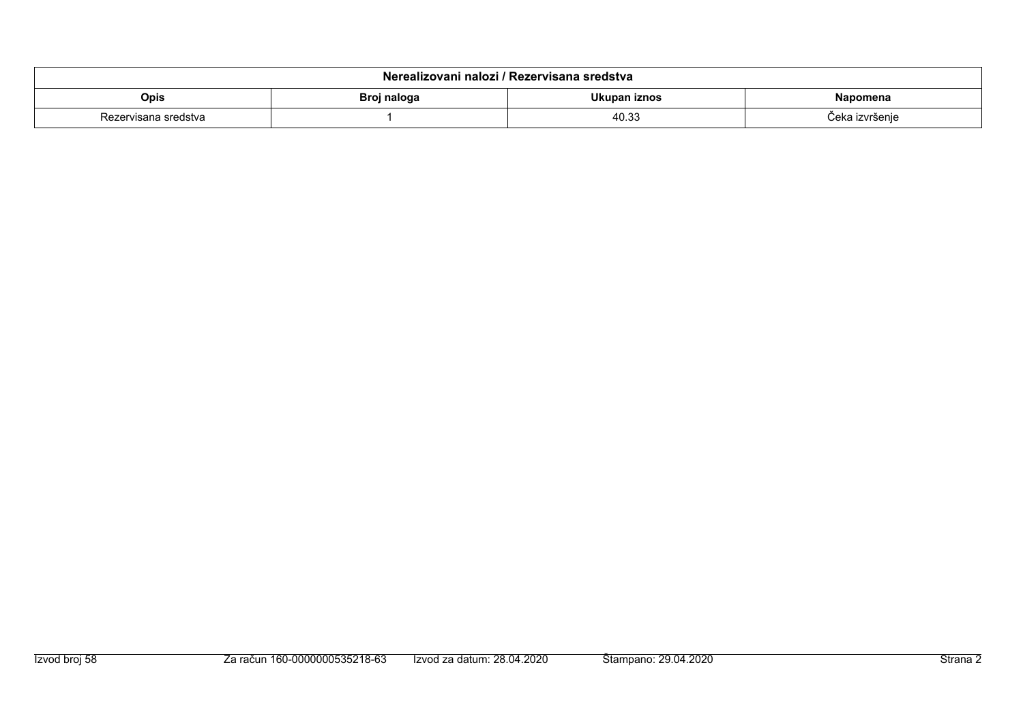| Nerealizovani nalozi / Rezervisana sredstva |             |              |                        |  |  |  |  |  |
|---------------------------------------------|-------------|--------------|------------------------|--|--|--|--|--|
| Opis                                        | Broj naloga | Ukupan iznos | Napomena               |  |  |  |  |  |
| Rezervisana sredstva                        |             | 40.33        | <i>ù</i> eka izvršenje |  |  |  |  |  |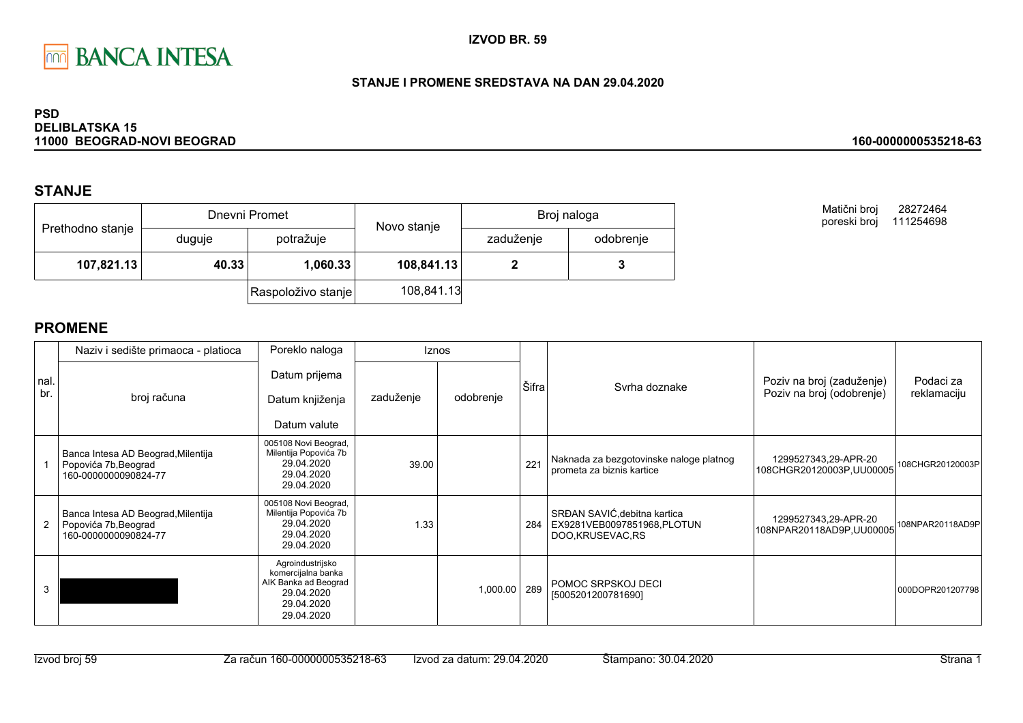

### STANJE I PROMENE SREDSTAVA NA DAN 29.04.2020

#### **PSD DELIBLATSKA 15** 11000 BEOGRAD-NOVI BEOGRAD

### **STANJE**

|                  |        | Dnevni Promet      | Novo stanje | Broj naloga |           |  |
|------------------|--------|--------------------|-------------|-------------|-----------|--|
| Prethodno stanje | duguje | potražuje          |             | zaduženje   | odobrenje |  |
| 107,821.13       | 40.33  | 1,060.33           | 108,841.13  |             |           |  |
|                  |        | Raspoloživo stanje | 108,841.13  |             |           |  |

**PROMENE** 

|             | Naziv i sedište primaoca - platioca                                                | Poreklo naloga                                                                                           | <b>Iznos</b> |           |       |                                                                                |                                                        |                          |
|-------------|------------------------------------------------------------------------------------|----------------------------------------------------------------------------------------------------------|--------------|-----------|-------|--------------------------------------------------------------------------------|--------------------------------------------------------|--------------------------|
| nal.<br>br. | broj računa                                                                        | Datum prijema<br>Datum knjiženja<br>Datum valute                                                         | zaduženje    | odobrenje | Šifra | Svrha doznake                                                                  | Poziv na broj (zaduženje)<br>Poziv na broj (odobrenje) | Podaci za<br>reklamaciju |
|             | Banca Intesa AD Beograd, Milentija<br>Popovića 7b, Beograd<br>160-0000000090824-77 | 005108 Novi Beograd,<br>Milentija Popovića 7b<br>29.04.2020<br>29.04.2020<br>29.04.2020                  | 39.00        |           | 221   | Naknada za bezgotovinske naloge platnog<br>prometa za biznis kartice           | 1299527343,29-APR-20<br>108CHGR20120003P,UU00005       | 108CHGR20120003P         |
| 2           | Banca Intesa AD Beograd, Milentija<br>Popovića 7b, Beograd<br>160-0000000090824-77 | 005108 Novi Beograd,<br>Milentija Popovića 7b<br>29.04.2020<br>29.04.2020<br>29.04.2020                  | 1.33         |           | 284   | SRĐAN SAVIĆ, debitna kartica<br>EX9281VEB0097851968, PLOTUN<br>DOO,KRUSEVAC,RS | 1299527343,29-APR-20<br>108NPAR20118AD9P,UU00005       | 108NPAR20118AD9P         |
| 3           |                                                                                    | Agroindustrijsko<br>komercijalna banka<br>AIK Banka ad Beograd<br>29.04.2020<br>29.04.2020<br>29.04.2020 |              | 1,000.00  | 289   | POMOC SRPSKOJ DECI<br>[5005201200781690]                                       |                                                        | 000DOPR201207798         |

#### 160-0000000535218-63

28272464

Matični broj

poreski broj 111254698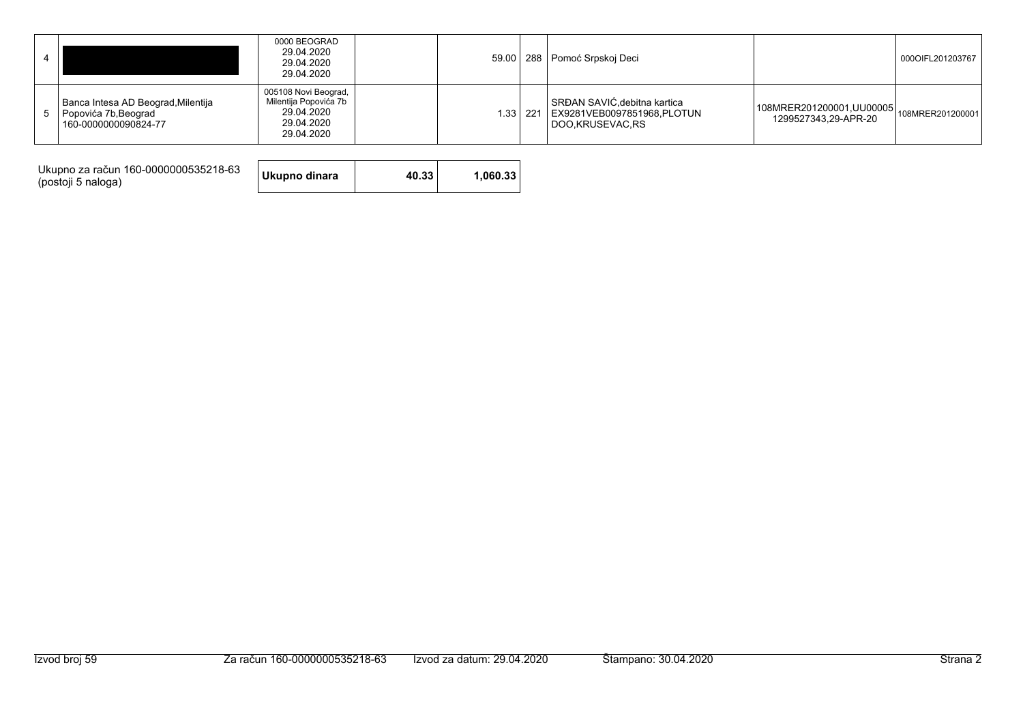|                                                                                    | 0000 BEOGRAD<br>29.04.2020<br>29.04.2020<br>29.04.2020                                  |  | 59.00   288   Pomoć Srpskoj Deci                                                            |                                                                    | 0000IFL201203767 |
|------------------------------------------------------------------------------------|-----------------------------------------------------------------------------------------|--|---------------------------------------------------------------------------------------------|--------------------------------------------------------------------|------------------|
| Banca Intesa AD Beograd, Milentija<br>Popovića 7b, Beograd<br>160-0000000090824-77 | 005108 Novi Beograd,<br>Milentija Popovića 7b<br>29.04.2020<br>29.04.2020<br>29.04.2020 |  | SRĐAN SAVIĆ, debitna kartica<br>1.33 221   EX9281VEB0097851968, PLOTUN<br>I DOO KRUSEVAC RS | 108MRER201200001, UU00005 108MRER201200001<br>1299527343.29-APR-20 |                  |

Ukupno za račun 160-0000000535218-63<br>(postoji 5 naloga)

Ukupno dinara 40.33 1,060.33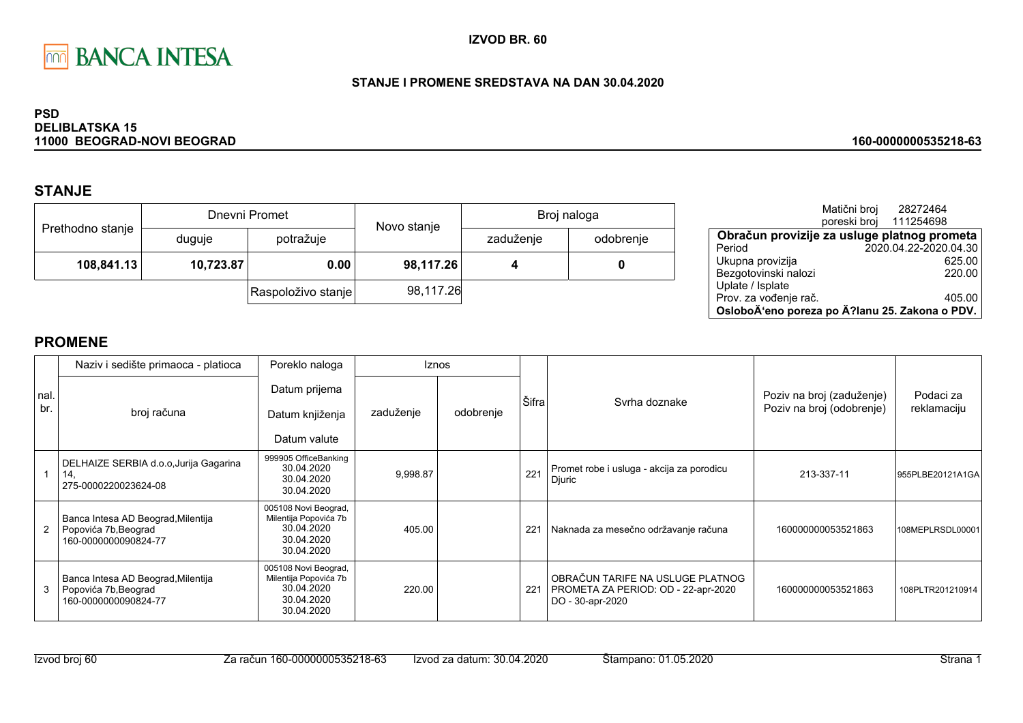

### STANJE I PROMENE SREDSTAVA NA DAN 30.04.2020

#### **PSD DELIBLATSKA 15** 11000 BEOGRAD-NOVI BEOGRAD

## **STANJE**

|                  |           | Dnevni Promet      | Novo stanje | Broj naloga |           |  |
|------------------|-----------|--------------------|-------------|-------------|-----------|--|
| Prethodno stanje | duguje    | potražuje          |             | zaduženje   | odobrenje |  |
| 108,841.13       | 10,723.87 | 0.00               | 98,117.26   |             | 0         |  |
|                  |           | Raspoloživo stanje | 98,117.26   |             |           |  |

|                                                | Matični broj<br>poreski broj | 28272464<br>111254698 |        |
|------------------------------------------------|------------------------------|-----------------------|--------|
| Obračun provizije za usluge platnog prometa    |                              |                       |        |
| Period                                         |                              | 2020.04.22-2020.04.30 |        |
| Ukupna provizija                               |                              |                       | 625.00 |
| Bezgotovinski nalozi                           |                              |                       | 220.00 |
| Uplate / Isplate                               |                              |                       |        |
| Prov. za vođenje rač.                          |                              |                       | 405.00 |
| OsloboÄ'eno poreza po Ä?lanu 25. Zakona o PDV. |                              |                       |        |

160-0000000535218-63

|            | Naziv i sedište primaoca - platioca                                                | Poreklo naloga                                                                          | <b>Iznos</b> |           |       |                                                                                             |                                                        |                          |
|------------|------------------------------------------------------------------------------------|-----------------------------------------------------------------------------------------|--------------|-----------|-------|---------------------------------------------------------------------------------------------|--------------------------------------------------------|--------------------------|
| nal<br>br. | broj računa                                                                        | Datum prijema<br>Datum knjiženja<br>Datum valute                                        | zaduženje    | odobrenje | Šifra | Syrha doznake                                                                               | Poziv na broj (zaduženje)<br>Poziv na broj (odobrenje) | Podaci za<br>reklamaciju |
|            | DELHAIZE SERBIA d.o.o, Jurija Gagarina<br>14.<br>275-0000220023624-08              | 999905 OfficeBanking<br>30.04.2020<br>30.04.2020<br>30.04.2020                          | 9,998.87     |           | 221   | Promet robe i usluga - akcija za porodicu<br>Djuric                                         | 213-337-11                                             | 955PLBE20121A1GA         |
|            | Banca Intesa AD Beograd, Milentija<br>Popovića 7b, Beograd<br>160-0000000090824-77 | 005108 Novi Beograd,<br>Milentija Popovića 7b<br>30.04.2020<br>30.04.2020<br>30.04.2020 | 405.00       |           | 221   | Naknada za mesečno održavanje računa                                                        | 160000000053521863                                     | 108MEPLRSDL00001         |
| 3          | Banca Intesa AD Beograd, Milentija<br>Popovića 7b, Beograd<br>160-0000000090824-77 | 005108 Novi Beograd,<br>Milentija Popovića 7b<br>30.04.2020<br>30.04.2020<br>30.04.2020 | 220.00       |           | 221   | OBRAČUN TARIFE NA USLUGE PLATNOG<br>PROMETA ZA PERIOD: OD - 22-apr-2020<br>DO - 30-apr-2020 | 160000000053521863                                     | 108PLTR201210914         |